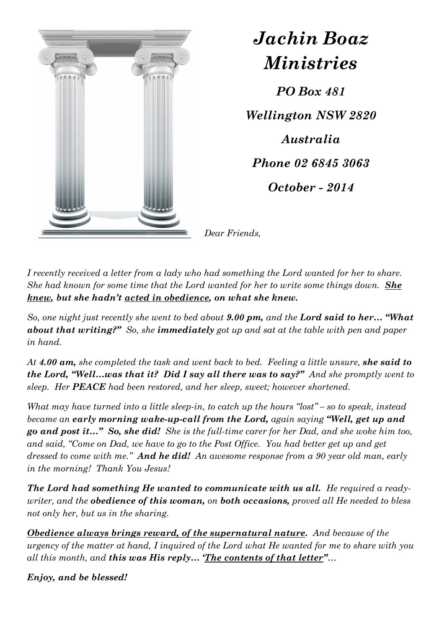

*Jachin Boaz Ministries PO Box 481 Wellington NSW 2820 Australia Phone 02 6845 3063 October - 2014* 

*Dear Friends,* 

*I recently received a letter from a lady who had something the Lord wanted for her to share. She had known for some time that the Lord wanted for her to write some things down. She knew, but she hadn't acted in obedience, on what she knew.* 

*So, one night just recently she went to bed about 9.00 pm, and the Lord said to her… "What about that writing?" So, she immediately got up and sat at the table with pen and paper in hand.* 

*At 4.00 am, she completed the task and went back to bed. Feeling a little unsure, she said to the Lord, "Well…was that it? Did I say all there was to say?" And she promptly went to sleep. Her PEACE had been restored, and her sleep, sweet; however shortened.* 

*What may have turned into a little sleep-in, to catch up the hours "lost" – so to speak, instead became an early morning wake-up-call from the Lord, again saying "Well, get up and go and post it…" So, she did! She is the full-time carer for her Dad, and she woke him too,*  and said, "Come on Dad, we have to go to the Post Office. You had better get up and get *dressed to come with me." And he did! An awesome response from a 90 year old man, early in the morning! Thank You Jesus!* 

*The Lord had something He wanted to communicate with us all. He required a readywriter, and the obedience of this woman, on both occasions, proved all He needed to bless not only her, but us in the sharing.* 

*Obedience always brings reward, of the supernatural nature. And because of the urgency of the matter at hand, I inquired of the Lord what He wanted for me to share with you all this month, and this was His reply… 'The contents of that letter"…* 

*Enjoy, and be blessed!*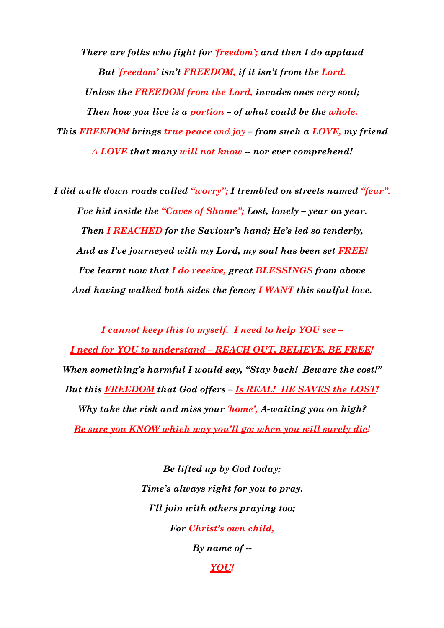*There are folks who fight for 'freedom'; and then I do applaud But 'freedom' isn't FREEDOM, if it isn't from the Lord. Unless the FREEDOM from the Lord, invades ones very soul; Then how you live is a portion – of what could be the whole. This FREEDOM brings true peace and joy – from such a LOVE, my friend A LOVE that many will not know -- nor ever comprehend!*

*I did walk down roads called "worry"; I trembled on streets named "fear". I've hid inside the "Caves of Shame"; Lost, lonely – year on year. Then I REACHED for the Saviour's hand; He's led so tenderly, And as I've journeyed with my Lord, my soul has been set FREE! I've learnt now that I do receive, great BLESSINGS from above And having walked both sides the fence; I WANT this soulful love.*

*I cannot keep this to myself. I need to help YOU see – I need for YOU to understand – REACH OUT, BELIEVE, BE FREE! When something's harmful I would say, "Stay back! Beware the cost!" But this FREEDOM that God offers – Is REAL! HE SAVES the LOST! Why take the risk and miss your 'home', A-waiting you on high? Be sure you KNOW which way you'll go; when you will surely die!* 

> *Be lifted up by God today; Time's always right for you to pray. I'll join with others praying too; For Christ's own child,*

> > *By name of --*

*YOU!*